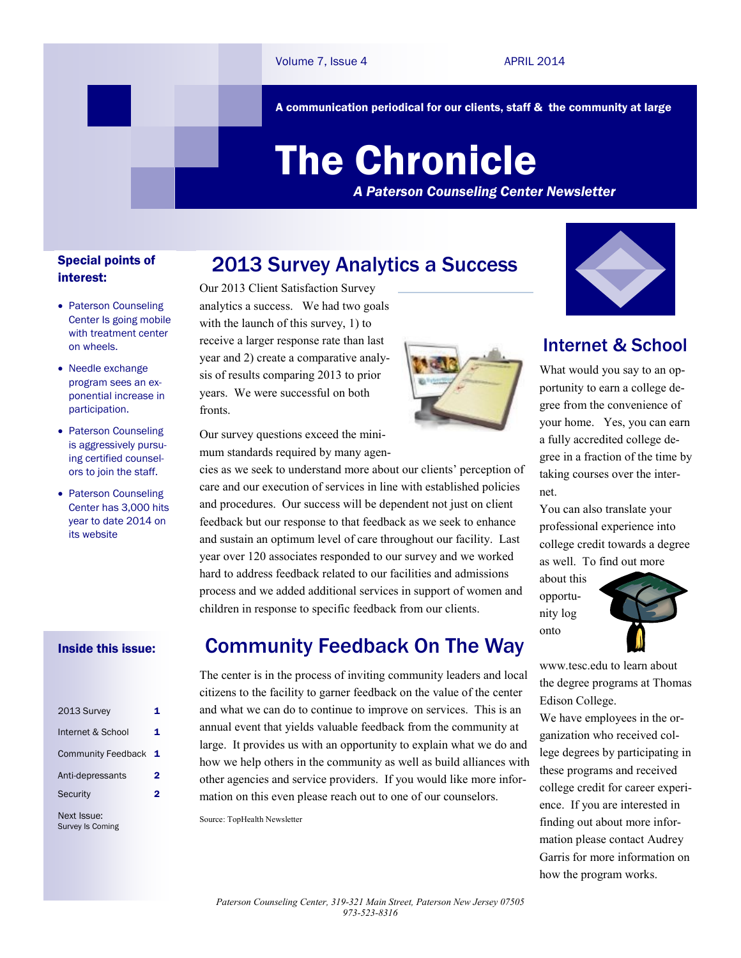A communication periodical for our clients, staff & the community at large

# The Chronicle

*A Paterson Counseling Center Newsletter*

#### Special points of interest:

- Paterson Counseling Center Is going mobile with treatment center on wheels.
- Needle exchange program sees an exponential increase in participation.
- Paterson Counseling is aggressively pursuing certified counselors to join the staff.
- Paterson Counseling Center has 3,000 hits year to date 2014 on its website

#### Inside this issue:

| 2013 Survey               | 1 |
|---------------------------|---|
| Internet & School         | 1 |
| <b>Community Feedback</b> | 1 |
| Anti-depressants          | 2 |
| Security                  | 2 |
| Next Issue:               |   |

Survey Is Coming

## 2013 Survey Analytics a Success

Our 2013 Client Satisfaction Survey analytics a success. We had two goals with the launch of this survey, 1) to receive a larger response rate than last year and 2) create a comparative analysis of results comparing 2013 to prior years. We were successful on both fronts.



Our survey questions exceed the minimum standards required by many agen-

cies as we seek to understand more about our clients' perception of care and our execution of services in line with established policies and procedures. Our success will be dependent not just on client feedback but our response to that feedback as we seek to enhance and sustain an optimum level of care throughout our facility. Last year over 120 associates responded to our survey and we worked hard to address feedback related to our facilities and admissions process and we added additional services in support of women and children in response to specific feedback from our clients.

## Community Feedback On The Way

The center is in the process of inviting community leaders and local citizens to the facility to garner feedback on the value of the center and what we can do to continue to improve on services. This is an annual event that yields valuable feedback from the community at large. It provides us with an opportunity to explain what we do and how we help others in the community as well as build alliances with other agencies and service providers. If you would like more information on this even please reach out to one of our counselors.

Source: TopHealth Newsletter



portunity to earn a college degree from the convenience of your home. Yes, you can earn a fully accredited college degree in a fraction of the time by taking courses over the internet.

You can also translate your professional experience into college credit towards a degree as well. To find out more

about this opportunity log onto



www.tesc.edu to learn about the degree programs at Thomas Edison College.

We have employees in the organization who received college degrees by participating in these programs and received college credit for career experience. If you are interested in finding out about more information please contact Audrey Garris for more information on how the program works.